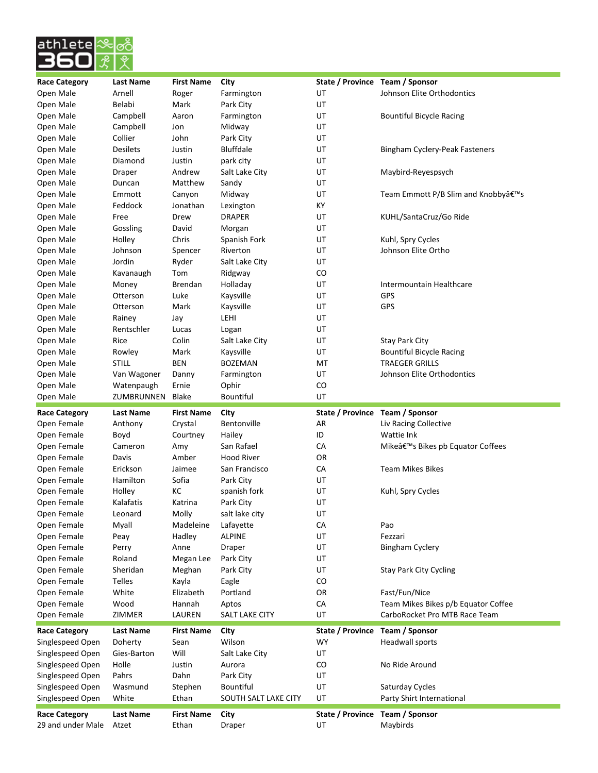

| <b>Race Category</b>                      | <b>Last Name</b>          | <b>First Name</b>          | City                       | State / Province Team / Sponsor |                                     |
|-------------------------------------------|---------------------------|----------------------------|----------------------------|---------------------------------|-------------------------------------|
| Open Male                                 | Arnell                    | Roger                      | Farmington                 | UT                              | Johnson Elite Orthodontics          |
| Open Male                                 | Belabi                    | Mark                       | Park City                  | UT                              |                                     |
| Open Male                                 | Campbell                  | Aaron                      | Farmington                 | UT                              | <b>Bountiful Bicycle Racing</b>     |
| Open Male                                 | Campbell                  | Jon                        | Midway                     | UT                              |                                     |
| Open Male                                 | Collier                   | John                       | Park City                  | UT                              |                                     |
| Open Male                                 | <b>Desilets</b>           | Justin                     | Bluffdale                  | UT                              | Bingham Cyclery-Peak Fasteners      |
| Open Male                                 | Diamond                   | Justin                     | park city                  | UT                              |                                     |
| Open Male                                 | Draper                    | Andrew                     | Salt Lake City             | UT                              | Maybird-Reyespsych                  |
| Open Male                                 | Duncan                    | Matthew                    | Sandy                      | UT                              |                                     |
| Open Male                                 | Emmott                    | Canyon                     | Midway                     | UT                              | Team Emmott P/B Slim and Knobby's   |
| Open Male                                 | Feddock                   | Jonathan                   | Lexington                  | KY                              |                                     |
| Open Male                                 | Free                      | Drew                       | <b>DRAPER</b>              | UT                              | KUHL/SantaCruz/Go Ride              |
| Open Male                                 | Gossling                  | David                      | Morgan                     | UT                              |                                     |
| Open Male                                 | Holley                    | Chris                      | Spanish Fork               | UT                              | Kuhl, Spry Cycles                   |
| Open Male                                 | Johnson                   | Spencer                    | Riverton                   | UT                              | Johnson Elite Ortho                 |
| Open Male                                 | Jordin                    | Ryder                      | Salt Lake City             | UT                              |                                     |
| Open Male                                 | Kavanaugh                 | Tom                        | Ridgway                    | CO                              |                                     |
| Open Male                                 |                           |                            |                            | UT                              | Intermountain Healthcare            |
| Open Male                                 | Money<br>Otterson         | Brendan                    | Holladay<br>Kaysville      |                                 | <b>GPS</b>                          |
|                                           |                           | Luke                       |                            | UT                              |                                     |
| Open Male                                 | Otterson                  | Mark                       | Kaysville                  | UT                              | <b>GPS</b>                          |
| Open Male                                 | Rainey                    | Jay                        | LEHI                       | UT                              |                                     |
| Open Male                                 | Rentschler                | Lucas                      | Logan                      | UT                              |                                     |
| Open Male                                 | Rice                      | Colin                      | Salt Lake City             | UT                              | <b>Stay Park City</b>               |
| Open Male                                 | Rowley                    | Mark                       | Kaysville                  | UT                              | <b>Bountiful Bicycle Racing</b>     |
| Open Male                                 | <b>STILL</b>              | <b>BEN</b>                 | <b>BOZEMAN</b>             | MT                              | <b>TRAEGER GRILLS</b>               |
| Open Male                                 | Van Wagoner               | Danny                      | Farmington                 | UT                              | Johnson Elite Orthodontics          |
| Open Male                                 | Watenpaugh                | Ernie                      | Ophir                      | CO                              |                                     |
| Open Male                                 | ZUMBRUNNEN                | <b>Blake</b>               | <b>Bountiful</b>           | UT                              |                                     |
|                                           |                           |                            |                            |                                 |                                     |
| <b>Race Category</b>                      | Last Name                 | <b>First Name</b>          | City                       | State / Province                | Team / Sponsor                      |
| Open Female                               | Anthony                   | Crystal                    | <b>Bentonville</b>         | AR                              | Liv Racing Collective               |
| Open Female                               | Boyd                      | Courtney                   | Hailey                     | ID                              | Wattie Ink                          |
| Open Female                               | Cameron                   | Amy                        | San Rafael                 | СA                              | Mike's Bikes pb Equator Coffees     |
| Open Female                               | Davis                     | Amber                      | <b>Hood River</b>          | OR                              |                                     |
| Open Female                               | Erickson                  | Jaimee                     | San Francisco              | CA                              | <b>Team Mikes Bikes</b>             |
| Open Female                               | Hamilton                  | Sofia                      | Park City                  | UT                              |                                     |
| Open Female                               | Holley                    | КC                         | spanish fork               | UT                              | Kuhl, Spry Cycles                   |
|                                           | Kalafatis                 | Katrina                    | Park City                  | UT                              |                                     |
| Open Female                               |                           |                            |                            | UT                              |                                     |
| Open Female                               | Leonard                   | Molly<br>Madeleine         | salt lake city             | CA                              | Pao                                 |
| Open Female                               | Myall                     |                            | Lafayette<br><b>ALPINE</b> |                                 |                                     |
| Open Female                               | Peay                      | Hadley                     |                            | UT                              | Fezzari                             |
| Open Female                               | Perry                     | Anne                       | Draper                     | UT                              | <b>Bingham Cyclery</b>              |
| Open Female                               | Roland                    | Megan Lee                  | Park City                  | UT                              |                                     |
| Open Female                               | Sheridan                  | Meghan                     | Park City                  | UT                              | <b>Stay Park City Cycling</b>       |
| Open Female                               | <b>Telles</b>             | Kayla                      | Eagle                      | CO                              |                                     |
| Open Female                               | White                     | Elizabeth                  | Portland                   | OR                              | Fast/Fun/Nice                       |
| Open Female                               | Wood                      | Hannah                     | Aptos                      | CA                              | Team Mikes Bikes p/b Equator Coffee |
| Open Female                               | ZIMMER                    | LAUREN                     | <b>SALT LAKE CITY</b>      | UT                              | CarboRocket Pro MTB Race Team       |
| <b>Race Category</b>                      | <b>Last Name</b>          | <b>First Name</b>          | City                       | State / Province                | Team / Sponsor                      |
| Singlespeed Open                          | Doherty                   | Sean                       | Wilson                     | <b>WY</b>                       | Headwall sports                     |
| Singlespeed Open                          | Gies-Barton               | Will                       | Salt Lake City             | UT                              |                                     |
| Singlespeed Open                          | Holle                     | Justin                     | Aurora                     | CO                              | No Ride Around                      |
| Singlespeed Open                          | Pahrs                     | Dahn                       | Park City                  | UT                              |                                     |
| Singlespeed Open                          | Wasmund                   | Stephen                    | Bountiful                  | UT                              | Saturday Cycles                     |
| Singlespeed Open                          | White                     | Ethan                      | SOUTH SALT LAKE CITY       | UT                              | Party Shirt International           |
| <b>Race Category</b><br>29 and under Male | <b>Last Name</b><br>Atzet | <b>First Name</b><br>Ethan | City<br>Draper             | State / Province<br>UT          | Team / Sponsor<br>Maybirds          |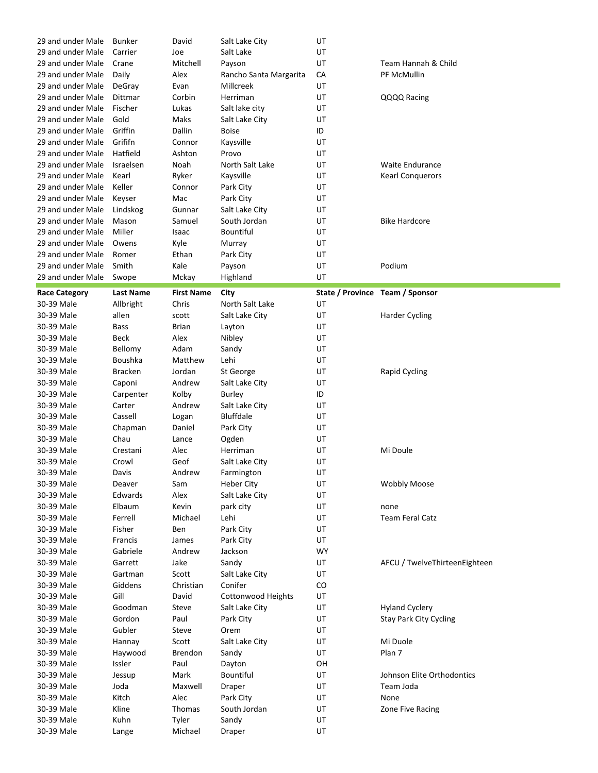| 29 and under Male        | <b>Bunker</b>    | David             | Salt Lake City         | UT                              |                               |
|--------------------------|------------------|-------------------|------------------------|---------------------------------|-------------------------------|
| 29 and under Male        | Carrier          | Joe               | Salt Lake              | UT                              |                               |
| 29 and under Male        | Crane            | Mitchell          | Payson                 | UT                              | Team Hannah & Child           |
| 29 and under Male        | Daily            | Alex              | Rancho Santa Margarita | CA                              | PF McMullin                   |
| 29 and under Male        | DeGray           | Evan              | Millcreek              | UT                              |                               |
| 29 and under Male        | Dittmar          | Corbin            | Herriman               | UT                              | QQQQ Racing                   |
| 29 and under Male        | Fischer          | Lukas             | Salt lake city         | UT                              |                               |
| 29 and under Male        | Gold             | Maks              | Salt Lake City         | UT                              |                               |
| 29 and under Male        | Griffin          | Dallin            | <b>Boise</b>           | ID                              |                               |
| 29 and under Male        | Grififn          | Connor            | Kaysville              | UT                              |                               |
| 29 and under Male        | Hatfield         | Ashton            | Provo                  | UT                              |                               |
| 29 and under Male        | Israelsen        | Noah              | North Salt Lake        | UT                              | <b>Waite Endurance</b>        |
| 29 and under Male        | Kearl            | Ryker             | Kaysville              | UT                              | <b>Kearl Conquerors</b>       |
| 29 and under Male        | Keller           |                   |                        | UT                              |                               |
|                          |                  | Connor            | Park City              |                                 |                               |
| 29 and under Male        | Keyser           | Mac               | Park City              | UT                              |                               |
| 29 and under Male        | Lindskog         | Gunnar            | Salt Lake City         | UT                              |                               |
| 29 and under Male        | Mason            | Samuel            | South Jordan           | UT                              | <b>Bike Hardcore</b>          |
| 29 and under Male        | Miller           | Isaac             | <b>Bountiful</b>       | UT                              |                               |
| 29 and under Male        | Owens            | Kyle              | Murray                 | UT                              |                               |
| 29 and under Male        | Romer            | Ethan             | Park City              | UT                              |                               |
| 29 and under Male        | Smith            | Kale              | Payson                 | UT                              | Podium                        |
| 29 and under Male        | Swope            | Mckay             | Highland               | UT                              |                               |
| <b>Race Category</b>     | <b>Last Name</b> | <b>First Name</b> | City                   | State / Province Team / Sponsor |                               |
| 30-39 Male               | Allbright        | Chris             | North Salt Lake        | UT                              |                               |
| 30-39 Male               | allen            | scott             | Salt Lake City         | UT                              | <b>Harder Cycling</b>         |
| 30-39 Male               | <b>Bass</b>      | Brian             | Layton                 | UT                              |                               |
| 30-39 Male               | Beck             | Alex              | Nibley                 | UT                              |                               |
| 30-39 Male               | Bellomy          | Adam              | Sandy                  | UT                              |                               |
| 30-39 Male               | <b>Boushka</b>   | Matthew           | Lehi                   | UT                              |                               |
|                          |                  |                   |                        |                                 |                               |
| 30-39 Male               | <b>Bracken</b>   | Jordan            | St George              | UT                              | <b>Rapid Cycling</b>          |
| 30-39 Male               | Caponi           | Andrew            | Salt Lake City         | UT                              |                               |
|                          |                  |                   |                        |                                 |                               |
| 30-39 Male               | Carpenter        | Kolby             | Burley                 | ID                              |                               |
| 30-39 Male               | Carter           | Andrew            | Salt Lake City         | UT                              |                               |
| 30-39 Male               | Cassell          | Logan             | <b>Bluffdale</b>       | UT                              |                               |
| 30-39 Male               | Chapman          | Daniel            | Park City              | UT                              |                               |
| 30-39 Male               | Chau             | Lance             | Ogden                  | UT                              |                               |
| 30-39 Male               | Crestani         | Alec              | Herriman               | UT                              | Mi Doule                      |
| 30-39 Male               | Crowl            | Geof              | Salt Lake City         | UT                              |                               |
| 30-39 Male               | Davis            | Andrew            | Farmington             | UT                              |                               |
| 30-39 Male               | Deaver           | Sam               | <b>Heber City</b>      | UT                              | <b>Wobbly Moose</b>           |
| 30-39 Male               | Edwards          | Alex              | Salt Lake City         | UT                              |                               |
| 30-39 Male               | Elbaum           | Kevin             | park city              | UT                              | none                          |
| 30-39 Male               | Ferrell          | Michael           | Lehi                   | UT                              | <b>Team Feral Catz</b>        |
| 30-39 Male               | Fisher           | Ben               | Park City              | UT                              |                               |
| 30-39 Male               | Francis          | James             | Park City              | UT                              |                               |
| 30-39 Male               | Gabriele         | Andrew            | Jackson                | <b>WY</b>                       |                               |
| 30-39 Male               | Garrett          | Jake              | Sandy                  | UT                              | AFCU / TwelveThirteenEighteen |
| 30-39 Male               | Gartman          | Scott             | Salt Lake City         | UT                              |                               |
| 30-39 Male               | Giddens          | Christian         | Conifer                | CO                              |                               |
| 30-39 Male               | Gill             | David             |                        | UT                              |                               |
|                          |                  |                   | Cottonwood Heights     |                                 |                               |
| 30-39 Male               | Goodman          | Steve             | Salt Lake City         | UT                              | <b>Hyland Cyclery</b>         |
| 30-39 Male               | Gordon           | Paul              | Park City              | UT                              | <b>Stay Park City Cycling</b> |
| 30-39 Male               | Gubler           | Steve             | Orem                   | UT                              |                               |
| 30-39 Male               | Hannay           | Scott             | Salt Lake City         | UT                              | Mi Duole                      |
| 30-39 Male               | Haywood          | Brendon           | Sandy                  | UT                              | Plan 7                        |
| 30-39 Male               | Issler           | Paul              | Dayton                 | OH                              |                               |
| 30-39 Male               | Jessup           | Mark              | Bountiful              | UT                              | Johnson Elite Orthodontics    |
| 30-39 Male               | Joda             | Maxwell           | Draper                 | UT                              | Team Joda                     |
| 30-39 Male               | Kitch            | Alec              | Park City              | UT                              | None                          |
| 30-39 Male               | Kline            | Thomas            | South Jordan           | UT                              | Zone Five Racing              |
| 30-39 Male<br>30-39 Male | Kuhn<br>Lange    | Tyler<br>Michael  | Sandy<br>Draper        | UT<br>UT                        |                               |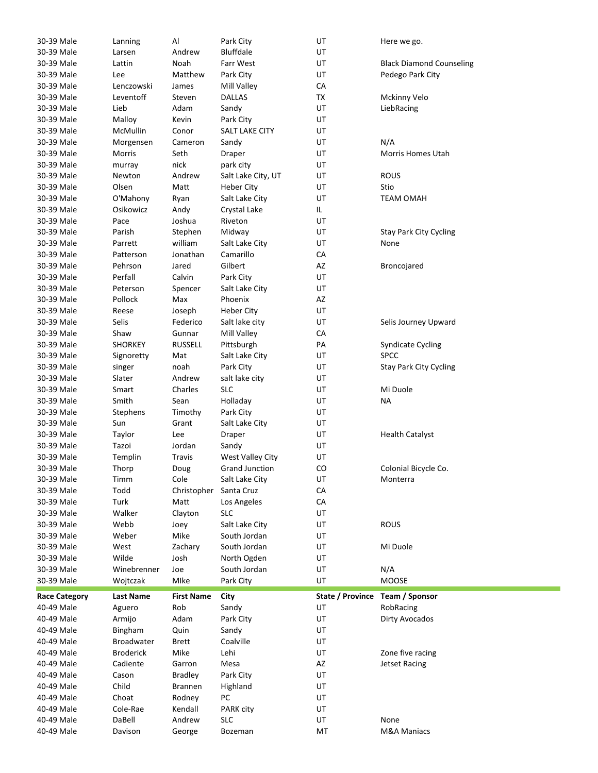| 30-39 Male               | Lanning           | Al                | Park City                      | UT               | Here we go.                     |
|--------------------------|-------------------|-------------------|--------------------------------|------------------|---------------------------------|
| 30-39 Male               | Larsen            | Andrew            | Bluffdale                      | UT               |                                 |
| 30-39 Male               | Lattin            | Noah              | Farr West                      | UT               | <b>Black Diamond Counseling</b> |
| 30-39 Male               | Lee               | Matthew           | Park City                      | UT               | Pedego Park City                |
| 30-39 Male               | Lenczowski        | James             | Mill Valley                    | CA               |                                 |
| 30-39 Male               | Leventoff         | Steven            | <b>DALLAS</b>                  | TX               | Mckinny Velo                    |
| 30-39 Male               | Lieb              | Adam              | Sandy                          | UT               | LiebRacing                      |
| 30-39 Male               | Malloy            | Kevin             | Park City                      | UT               |                                 |
| 30-39 Male               | McMullin          | Conor             | SALT LAKE CITY                 | UT               |                                 |
| 30-39 Male               | Morgensen         | Cameron           | Sandy                          | UT               | N/A                             |
| 30-39 Male               | Morris            | Seth              | Draper                         | UT               | <b>Morris Homes Utah</b>        |
| 30-39 Male               | murray            | nick              | park city                      | UT               |                                 |
| 30-39 Male               | Newton            | Andrew            | Salt Lake City, UT             | UT               | <b>ROUS</b>                     |
| 30-39 Male               | Olsen             | Matt              | <b>Heber City</b>              | UT               | Stio                            |
| 30-39 Male               | O'Mahony          | Ryan              | Salt Lake City                 | UT               | <b>TEAM OMAH</b>                |
| 30-39 Male               | Osikowicz         | Andy              | Crystal Lake                   | IL.              |                                 |
| 30-39 Male               | Pace              | Joshua            | Riveton                        | UT               |                                 |
| 30-39 Male               | Parish            |                   |                                | UT               |                                 |
|                          |                   | Stephen           | Midway                         |                  | <b>Stay Park City Cycling</b>   |
| 30-39 Male               | Parrett           | william           | Salt Lake City                 | UT               | None                            |
| 30-39 Male               | Patterson         | Jonathan          | Camarillo                      | CA               |                                 |
| 30-39 Male               | Pehrson           | Jared             | Gilbert                        | AZ               | Broncojared                     |
| 30-39 Male               | Perfall           | Calvin            | Park City                      | UT               |                                 |
| 30-39 Male               | Peterson          | Spencer           | Salt Lake City                 | UT               |                                 |
| 30-39 Male               | Pollock           | Max               | Phoenix                        | AZ               |                                 |
| 30-39 Male               | Reese             | Joseph            | <b>Heber City</b>              | UT               |                                 |
| 30-39 Male               | Selis             | Federico          | Salt lake city                 | UT               | Selis Journey Upward            |
| 30-39 Male               | Shaw              | Gunnar            | Mill Valley                    | CA               |                                 |
| 30-39 Male               | <b>SHORKEY</b>    | <b>RUSSELL</b>    | Pittsburgh                     | PA               | <b>Syndicate Cycling</b>        |
| 30-39 Male               | Signoretty        | Mat               | Salt Lake City                 | UT               | <b>SPCC</b>                     |
| 30-39 Male               | singer            | noah              | Park City                      | UT               | <b>Stay Park City Cycling</b>   |
| 30-39 Male               | Slater            | Andrew            | salt lake city                 | UT               |                                 |
| 30-39 Male               | Smart             | Charles           | <b>SLC</b>                     | UT               | Mi Duole                        |
|                          |                   |                   |                                |                  |                                 |
| 30-39 Male               | Smith             | Sean              | Holladay                       | UT               | NA                              |
| 30-39 Male               | Stephens          | Timothy           | Park City                      | UT               |                                 |
| 30-39 Male               | Sun               | Grant             | Salt Lake City                 | UT               |                                 |
| 30-39 Male               | Taylor            | Lee               | Draper                         | UT               | <b>Health Catalyst</b>          |
| 30-39 Male               | Tazoi             | Jordan            | Sandy                          | UT               |                                 |
| 30-39 Male               | Templin           | <b>Travis</b>     | West Valley City               | UT               |                                 |
| 30-39 Male               | Thorp             | Doug              | <b>Grand Junction</b>          | CO               | Colonial Bicycle Co.            |
| 30-39 Male               | Timm              | Cole              | Salt Lake City                 | UT               | Monterra                        |
| 30-39 Male               | Todd              | Christopher       | Santa Cruz                     | ${\sf CA}$       |                                 |
| 30-39 Male               | Turk              | Matt              | Los Angeles                    | CA               |                                 |
| 30-39 Male               | Walker            | Clayton           | <b>SLC</b>                     | UT               |                                 |
| 30-39 Male               | Webb              |                   |                                |                  |                                 |
|                          | Weber             | Joey<br>Mike      | Salt Lake City<br>South Jordan | UT<br>UT         | <b>ROUS</b>                     |
| 30-39 Male               |                   |                   |                                |                  |                                 |
| 30-39 Male               | West              | Zachary           | South Jordan                   | UT               | Mi Duole                        |
| 30-39 Male               | Wilde             | Josh              | North Ogden                    | UT               |                                 |
| 30-39 Male               | Winebrenner       | Joe               | South Jordan                   | UT               | N/A                             |
| 30-39 Male               | Wojtczak          | Mlke              | Park City                      | UT               | <b>MOOSE</b>                    |
| <b>Race Category</b>     | Last Name         | <b>First Name</b> | City                           | State / Province | Team / Sponsor                  |
| 40-49 Male               | Aguero            | Rob               | Sandy                          | UT               | RobRacing                       |
| 40-49 Male               | Armijo            | Adam              | Park City                      | UT               | Dirty Avocados                  |
| 40-49 Male               | Bingham           | Quin              | Sandy                          | UT               |                                 |
| 40-49 Male               | <b>Broadwater</b> | Brett             | Coalville                      | UT               |                                 |
| 40-49 Male               | <b>Broderick</b>  | Mike              | Lehi                           | UT               | Zone five racing                |
| 40-49 Male               | Cadiente          | Garron            | Mesa                           | AZ               | <b>Jetset Racing</b>            |
| 40-49 Male               | Cason             | <b>Bradley</b>    | Park City                      | UT               |                                 |
| 40-49 Male               | Child             | <b>Brannen</b>    | Highland                       | UT               |                                 |
| 40-49 Male               | Choat             | Rodney            | PC                             | UT               |                                 |
| 40-49 Male               | Cole-Rae          | Kendall           | PARK city                      | UT               |                                 |
| 40-49 Male<br>40-49 Male | DaBell<br>Davison | Andrew<br>George  | <b>SLC</b><br>Bozeman          | UT<br>MT         | None<br><b>M&amp;A Maniacs</b>  |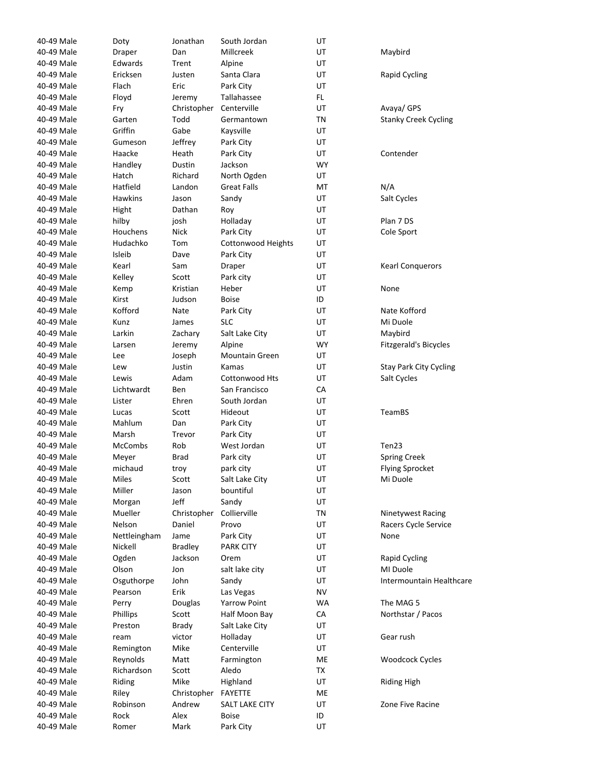| 40-49 Male | Doty           | Jonathan       | South Jordan            | UT        |                               |
|------------|----------------|----------------|-------------------------|-----------|-------------------------------|
| 40-49 Male | Draper         | Dan            | Millcreek               | UT        | Maybird                       |
| 40-49 Male | Edwards        | Trent          | Alpine                  | UT        |                               |
| 40-49 Male | Ericksen       | Justen         | Santa Clara             | UT        | Rapid Cycling                 |
| 40-49 Male | Flach          | Eric           | Park City               | UT        |                               |
| 40-49 Male | Floyd          | Jeremy         | Tallahassee             | FL.       |                               |
| 40-49 Male | Fry            | Christopher    | Centerville             | UT        | Avaya/ GPS                    |
| 40-49 Male | Garten         | Todd           | Germantown              | ΤN        | <b>Stanky Creek Cycling</b>   |
| 40-49 Male | Griffin        | Gabe           | Kaysville               | UT        |                               |
| 40-49 Male | Gumeson        | Jeffrey        | Park City               | UT        |                               |
| 40-49 Male | Haacke         | Heath          | Park City               | UT        | Contender                     |
| 40-49 Male | Handley        | Dustin         | Jackson                 | <b>WY</b> |                               |
| 40-49 Male | Hatch          | Richard        | North Ogden             | UT        |                               |
| 40-49 Male | Hatfield       | Landon         | <b>Great Falls</b>      | MT        | N/A                           |
| 40-49 Male | <b>Hawkins</b> | Jason          | Sandy                   | UT        | Salt Cycles                   |
| 40-49 Male | Hight          | Dathan         | Roy                     | UT        |                               |
| 40-49 Male | hilby          | josh           | Holladay                | UT        | Plan 7 DS                     |
| 40-49 Male | Houchens       | <b>Nick</b>    | Park City               | UT        | Cole Sport                    |
| 40-49 Male | Hudachko       | Tom            | Cottonwood Heights      | UT        |                               |
| 40-49 Male | Isleib         | Dave           | Park City               | UT        |                               |
| 40-49 Male | Kearl          | Sam            | Draper                  | UT        | <b>Kearl Conquerors</b>       |
| 40-49 Male | Kelley         | Scott          | Park city               | UT        |                               |
| 40-49 Male | Kemp           | Kristian       | Heber                   | UT        | None                          |
| 40-49 Male | Kirst          | Judson         | <b>Boise</b>            | ID        |                               |
| 40-49 Male | Kofford        | Nate           |                         | UT        | Nate Kofford                  |
| 40-49 Male | Kunz           | James          | Park City<br><b>SLC</b> | UT        | Mi Duole                      |
| 40-49 Male | Larkin         |                |                         | UT        | Maybird                       |
| 40-49 Male |                | Zachary        | Salt Lake City          | <b>WY</b> |                               |
|            | Larsen         | Jeremy         | Alpine                  |           | Fitzgerald's Bicycles         |
| 40-49 Male | Lee            | Joseph         | <b>Mountain Green</b>   | UT        |                               |
| 40-49 Male | Lew            | Justin<br>Adam | Kamas                   | UT        | <b>Stay Park City Cycling</b> |
| 40-49 Male | Lewis          |                | Cottonwood Hts          | UT        | Salt Cycles                   |
| 40-49 Male | Lichtwardt     | Ben            | San Francisco           | СA        |                               |
| 40-49 Male | Lister         | Ehren          | South Jordan            | UT        |                               |
| 40-49 Male | Lucas          | Scott          | Hideout                 | UT        | TeamBS                        |
| 40-49 Male | Mahlum         | Dan            | Park City               | UT        |                               |
| 40-49 Male | Marsh          | Trevor         | Park City               | UT        |                               |
| 40-49 Male | <b>McCombs</b> | Rob            | West Jordan             | UT        | Ten23                         |
| 40-49 Male | Meyer          | <b>Brad</b>    | Park city               | UT        | <b>Spring Creek</b>           |
| 40-49 Male | michaud        | troy           | park city               | UT        | <b>Flying Sprocket</b>        |
| 40-49 Male | Miles          | Scott          | Salt Lake City          | UT        | Mi Duole                      |
| 40-49 Male | Miller         | Jason          | bountiful               | UT        |                               |
| 40-49 Male | Morgan         | Jeff           | Sandy                   | UT        |                               |
| 40-49 Male | Mueller        | Christopher    | Collierville            | TN        | Ninetywest Racing             |
| 40-49 Male | Nelson         | Daniel         | Provo                   | UT        | Racers Cycle Service          |
| 40-49 Male | Nettleingham   | Jame           | Park City               | UT        | None                          |
| 40-49 Male | Nickell        | <b>Bradley</b> | <b>PARK CITY</b>        | UT        |                               |
| 40-49 Male | Ogden          | Jackson        | Orem                    | UT        | Rapid Cycling                 |
| 40-49 Male | Olson          | Jon            | salt lake city          | UT        | MI Duole                      |
| 40-49 Male | Osguthorpe     | John           | Sandy                   | UT        | Intermountain Healthcare      |
| 40-49 Male | Pearson        | Erik           | Las Vegas               | <b>NV</b> |                               |
| 40-49 Male | Perry          | Douglas        | <b>Yarrow Point</b>     | WA        | The MAG 5                     |
| 40-49 Male | Phillips       | Scott          | Half Moon Bay           | CA        | Northstar / Pacos             |
| 40-49 Male | Preston        | <b>Brady</b>   | Salt Lake City          | UT        |                               |
| 40-49 Male | ream           | victor         | Holladay                | UT        | Gear rush                     |
| 40-49 Male | Remington      | Mike           | Centerville             | UT        |                               |
| 40-49 Male | Reynolds       | Matt           | Farmington              | ME        | Woodcock Cycles               |
| 40-49 Male | Richardson     | Scott          | Aledo                   | ТX        |                               |
| 40-49 Male | Riding         | Mike           | Highland                | UT        | <b>Riding High</b>            |
| 40-49 Male | Riley          | Christopher    | <b>FAYETTE</b>          | ME        |                               |
| 40-49 Male | Robinson       | Andrew         | SALT LAKE CITY          | UT        | Zone Five Racine              |
| 40-49 Male | Rock           | Alex           | <b>Boise</b>            | ID        |                               |
| 40-49 Male | Romer          | Mark           | Park City               | UT        |                               |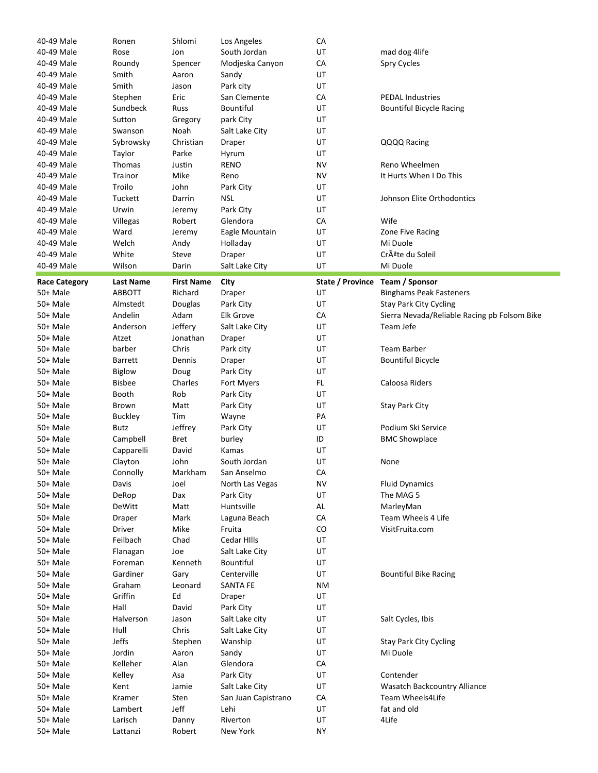| 40-49 Male           | Ronen               | Shlomi            | Los Angeles          | CA               |                                              |
|----------------------|---------------------|-------------------|----------------------|------------------|----------------------------------------------|
| 40-49 Male           | Rose                | Jon               | South Jordan         | UT               | mad dog 4life                                |
| 40-49 Male           | Roundy              | Spencer           | Modjeska Canyon      | CA               | Spry Cycles                                  |
| 40-49 Male           | Smith               | Aaron             | Sandy                | UT               |                                              |
| 40-49 Male           | Smith               | Jason             | Park city            | UT               |                                              |
| 40-49 Male           | Stephen             | Eric              | San Clemente         | CA               | <b>PEDAL Industries</b>                      |
| 40-49 Male           | Sundbeck            |                   | Bountiful            | UT               |                                              |
|                      |                     | Russ              |                      |                  | <b>Bountiful Bicycle Racing</b>              |
| 40-49 Male           | Sutton              | Gregory           | park City            | UT               |                                              |
| 40-49 Male           | Swanson             | Noah              | Salt Lake City       | UT               |                                              |
| 40-49 Male           | Sybrowsky           | Christian         | Draper               | UT               | QQQQ Racing                                  |
| 40-49 Male           | Taylor              | Parke             | Hyrum                | UT               |                                              |
| 40-49 Male           | Thomas              | Justin            | <b>RENO</b>          | NV               | Reno Wheelmen                                |
| 40-49 Male           | Trainor             | Mike              | Reno                 | NV               | It Hurts When I Do This                      |
| 40-49 Male           | Troilo              | John              | Park City            | UT               |                                              |
| 40-49 Male           | Tuckett             | Darrin            | <b>NSL</b>           | UT               | Johnson Elite Orthodontics                   |
| 40-49 Male           | Urwin               | Jeremy            | Park City            | UT               |                                              |
| 40-49 Male           | Villegas            | Robert            | Glendora             | CA               | Wife                                         |
| 40-49 Male           | Ward                | Jeremy            | Eagle Mountain       | UT               | Zone Five Racing                             |
| 40-49 Male           | Welch               | Andy              | Holladay             | UT               | Mi Duole                                     |
| 40-49 Male           | White               | Steve             | Draper               | UT               | Crête du Soleil                              |
| 40-49 Male           | Wilson              | Darin             | Salt Lake City       | UT               | Mi Duole                                     |
|                      |                     |                   |                      |                  |                                              |
| <b>Race Category</b> | <b>Last Name</b>    | <b>First Name</b> | City                 | State / Province | Team / Sponsor                               |
| 50+ Male             | <b>ABBOTT</b>       | Richard           | Draper               | UT               | <b>Binghams Peak Fasteners</b>               |
| 50+ Male             | Almstedt            | Douglas           | Park City            | UT               | <b>Stay Park City Cycling</b>                |
| 50+ Male             | Andelin             | Adam              | <b>Elk Grove</b>     | СA               | Sierra Nevada/Reliable Racing pb Folsom Bike |
| 50+ Male             | Anderson            | Jeffery           | Salt Lake City       | UT               | Team Jefe                                    |
| 50+ Male             | Atzet               | Jonathan          | Draper               | UT               |                                              |
| 50+ Male             | barber              | Chris             | Park city            | UT               | Team Barber                                  |
| 50+ Male             | <b>Barrett</b>      | Dennis            | Draper               | UT               | <b>Bountiful Bicycle</b>                     |
| 50+ Male             | <b>Biglow</b>       | Doug              | Park City            | UT               |                                              |
| 50+ Male             | <b>Bisbee</b>       | Charles           |                      |                  |                                              |
|                      |                     |                   |                      |                  |                                              |
|                      |                     |                   | Fort Myers           | FL.              | Caloosa Riders                               |
| 50+ Male             | Booth               | Rob               | Park City            | UT               |                                              |
| 50+ Male             | Brown               | Matt              | Park City            | UT               | <b>Stay Park City</b>                        |
| 50+ Male             | <b>Buckley</b>      | Tim               | Wayne                | PA               |                                              |
| 50+ Male             | Butz                | Jeffrey           | Park City            | UT               | Podium Ski Service                           |
| 50+ Male             | Campbell            | <b>Bret</b>       | burley               | ID               | <b>BMC Showplace</b>                         |
| 50+ Male             | Capparelli          | David             | Kamas                | UT               |                                              |
| 50+ Male             | Clayton             | John              | South Jordan         | UT               | None                                         |
| 50+ Male             | Connolly            | Markham           | San Anselmo          | CA               |                                              |
| 50+ Male             | Davis               | Joel              | North Las Vegas      | <b>NV</b>        | <b>Fluid Dynamics</b>                        |
| 50+ Male             | DeRop               | Dax               | Park City            | UT               | The MAG 5                                    |
| 50+ Male             | DeWitt              | Matt              | Huntsville           | AL               | MarleyMan                                    |
| 50+ Male             | Draper              | Mark              | Laguna Beach         | CA               | Team Wheels 4 Life                           |
| 50+ Male             | Driver              | Mike              | Fruita               | CO               | VisitFruita.com                              |
| 50+ Male             | Feilbach            | Chad              | Cedar Hills          | UT               |                                              |
| 50+ Male             |                     | Joe               | Salt Lake City       | UT               |                                              |
| 50+ Male             | Flanagan<br>Foreman | Kenneth           | Bountiful            | UT               |                                              |
| 50+ Male             | Gardiner            |                   |                      |                  | <b>Bountiful Bike Racing</b>                 |
|                      |                     | Gary              | Centerville          | UT               |                                              |
| 50+ Male             | Graham              | Leonard           | <b>SANTA FE</b>      | <b>NM</b>        |                                              |
| 50+ Male             | Griffin             | Ed                | Draper               | UT               |                                              |
| 50+ Male             | Hall                | David             | Park City            | UT               |                                              |
| 50+ Male             | Halverson           | Jason             | Salt Lake city       | UT               | Salt Cycles, Ibis                            |
| 50+ Male             | Hull                | Chris             | Salt Lake City       | UT               |                                              |
| 50+ Male             | Jeffs               | Stephen           | Wanship              | UT               | <b>Stay Park City Cycling</b>                |
| 50+ Male             | Jordin              | Aaron             | Sandy                | UT               | Mi Duole                                     |
| 50+ Male             | Kelleher            | Alan              | Glendora             | CA               |                                              |
| 50+ Male             | Kelley              | Asa               | Park City            | UT               | Contender                                    |
| 50+ Male             | Kent                | Jamie             | Salt Lake City       | UT               | Wasatch Backcountry Alliance                 |
| 50+ Male             | Kramer              | Sten              | San Juan Capistrano  | СA               | Team Wheels4Life                             |
| 50+ Male             | Lambert             | Jeff              | Lehi                 | UT               | fat and old                                  |
| 50+ Male<br>50+ Male | Larisch<br>Lattanzi | Danny<br>Robert   | Riverton<br>New York | UT<br><b>NY</b>  | 4Life                                        |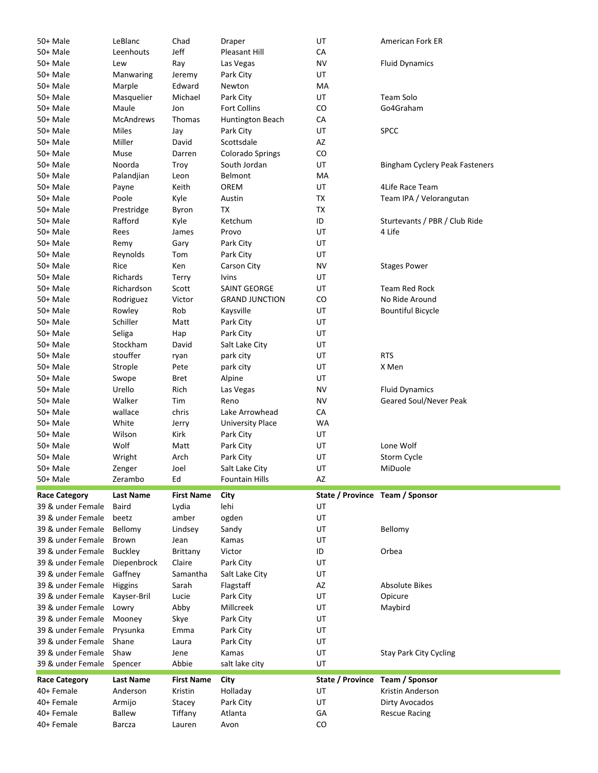| 50+ Male             | LeBlanc          | Chad              | Draper                       | UT                              | American Fork ER                       |
|----------------------|------------------|-------------------|------------------------------|---------------------------------|----------------------------------------|
| 50+ Male             | Leenhouts        | Jeff              | Pleasant Hill                | CA                              |                                        |
| 50+ Male             | Lew              | Ray               | Las Vegas                    | <b>NV</b>                       | <b>Fluid Dynamics</b>                  |
| 50+ Male             | Manwaring        | Jeremy            | Park City                    | UT                              |                                        |
| 50+ Male             | Marple           | Edward            | Newton                       | MA                              |                                        |
| 50+ Male             | Masquelier       | Michael           | Park City                    | UT                              | Team Solo                              |
| 50+ Male             | Maule            | Jon               | <b>Fort Collins</b>          | CO                              | Go4Graham                              |
| 50+ Male             | <b>McAndrews</b> | Thomas            | Huntington Beach             | CA                              |                                        |
| 50+ Male             | Miles            | Jay               | Park City                    | UT                              | <b>SPCC</b>                            |
| 50+ Male             | Miller           | David             | Scottsdale                   | AZ                              |                                        |
| 50+ Male             | Muse             | Darren            | <b>Colorado Springs</b>      | CO                              |                                        |
| 50+ Male             | Noorda           | Troy              | South Jordan                 | UT                              | <b>Bingham Cyclery Peak Fasteners</b>  |
| 50+ Male             | Palandjian       | Leon              | Belmont                      | MA                              |                                        |
| 50+ Male             | Payne            | Keith             | OREM                         | UT                              | 4Life Race Team                        |
| 50+ Male             | Poole            | Kyle              | Austin                       | TX                              | Team IPA / Velorangutan                |
| 50+ Male             | Prestridge       | Byron             | ТX                           | TX                              |                                        |
| 50+ Male             | Rafford          | Kyle              | Ketchum                      | ID                              | Sturtevants / PBR / Club Ride          |
| 50+ Male             | Rees             | James             | Provo                        | UT                              | 4 Life                                 |
| 50+ Male             | Remy             | Gary              | Park City                    | UT                              |                                        |
| 50+ Male             | Reynolds         | Tom               | Park City                    | UT                              |                                        |
| 50+ Male             | Rice             | Ken               | Carson City                  | <b>NV</b>                       | <b>Stages Power</b>                    |
| 50+ Male             | Richards         |                   |                              | UT                              |                                        |
| 50+ Male             |                  | Terry             | Ivins<br><b>SAINT GEORGE</b> |                                 |                                        |
|                      | Richardson       | Scott             |                              | UT                              | <b>Team Red Rock</b><br>No Ride Around |
| 50+ Male             | Rodriguez        | Victor            | <b>GRAND JUNCTION</b>        | CO                              |                                        |
| 50+ Male             | Rowley           | Rob               | Kaysville                    | UT                              | <b>Bountiful Bicycle</b>               |
| 50+ Male             | Schiller         | Matt              | Park City                    | UT                              |                                        |
| 50+ Male             | Seliga           | Hap               | Park City                    | UT                              |                                        |
| 50+ Male             | Stockham         | David             | Salt Lake City               | UT                              |                                        |
| 50+ Male             | stouffer         | ryan              | park city                    | UT                              | <b>RTS</b>                             |
| 50+ Male             | Strople          | Pete              | park city                    | UT                              | X Men                                  |
| 50+ Male             | Swope            | Bret              | Alpine                       | UT                              |                                        |
| 50+ Male             | Urello           | Rich              | Las Vegas                    | <b>NV</b>                       | <b>Fluid Dynamics</b>                  |
| 50+ Male             | Walker           | Tim               | Reno                         | <b>NV</b>                       | Geared Soul/Never Peak                 |
|                      |                  |                   |                              |                                 |                                        |
| 50+ Male             | wallace          | chris             | Lake Arrowhead               | CA                              |                                        |
| 50+ Male             | White            | Jerry             | <b>University Place</b>      | <b>WA</b>                       |                                        |
| 50+ Male             | Wilson           | Kirk              | Park City                    | UT                              |                                        |
| 50+ Male             | Wolf             | Matt              | Park City                    | UT                              | Lone Wolf                              |
| 50+ Male             | Wright           | Arch              | Park City                    | UT                              | Storm Cycle                            |
| 50+ Male             | Zenger           | Joel              | Salt Lake City               | UT                              | MiDuole                                |
| 50+ Male             | Zerambo          | Ed                | <b>Fountain Hills</b>        | AZ                              |                                        |
|                      |                  |                   |                              |                                 |                                        |
| <b>Race Category</b> | <b>Last Name</b> | <b>First Name</b> | City                         | State / Province Team / Sponsor |                                        |
| 39 & under Female    | <b>Baird</b>     | Lydia             | lehi                         | UT                              |                                        |
| 39 & under Female    | beetz            | amber             | ogden                        | UT                              |                                        |
| 39 & under Female    | Bellomy          | Lindsey           | Sandy                        | UT                              | Bellomy                                |
| 39 & under Female    | Brown            | Jean              | Kamas                        | UT                              |                                        |
| 39 & under Female    | <b>Buckley</b>   | Brittany          | Victor                       | ID                              | Orbea                                  |
| 39 & under Female    | Diepenbrock      | Claire            | Park City                    | UT                              |                                        |
| 39 & under Female    | Gaffney          | Samantha          | Salt Lake City               | UT                              |                                        |
| 39 & under Female    | Higgins          | Sarah             | Flagstaff                    | AZ                              | <b>Absolute Bikes</b>                  |
| 39 & under Female    | Kayser-Bril      | Lucie             | Park City                    | UT                              | Opicure                                |
| 39 & under Female    | Lowry            | Abby              | Millcreek                    | UT                              | Maybird                                |
| 39 & under Female    | Mooney           | Skye              | Park City                    | UT                              |                                        |
| 39 & under Female    | Prysunka         | Emma              | Park City                    | UT                              |                                        |
| 39 & under Female    | Shane            | Laura             | Park City                    | UT                              |                                        |
| 39 & under Female    | Shaw             | Jene              | Kamas                        | UT                              | <b>Stay Park City Cycling</b>          |
| 39 & under Female    | Spencer          | Abbie             | salt lake city               | UT                              |                                        |
| <b>Race Category</b> | <b>Last Name</b> | <b>First Name</b> | City                         | State / Province                | Team / Sponsor                         |
| 40+ Female           | Anderson         | Kristin           | Holladay                     | UT                              | Kristin Anderson                       |
| 40+ Female           | Armijo           | Stacey            | Park City                    | UT                              | Dirty Avocados                         |
| 40+ Female           | <b>Ballew</b>    | Tiffany           | Atlanta                      | GA                              | <b>Rescue Racing</b>                   |